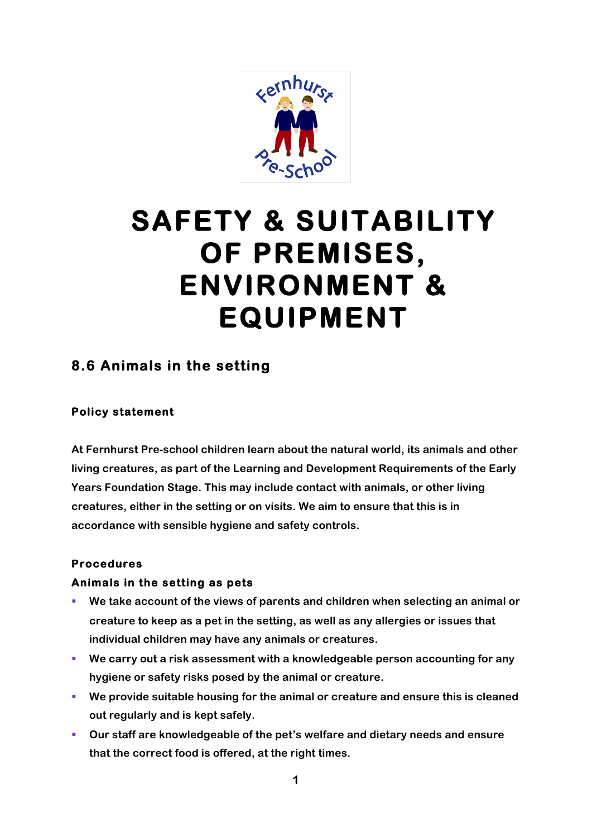

# **SAFETY & SUITABILITY OF PREMISES, ENVIRONMENT & EQUIPMENT**

# **8.6 Animals in the setting**

#### **Policy statement**

**At Fernhurst Pre-school children learn about the natural world, its animals and other living creatures, as part of the Learning and Development Requirements of the Early Years Foundation Stage. This may include contact with animals, or other living creatures, either in the setting or on visits. We aim to ensure that this is in accordance with sensible hygiene and safety controls.**

#### **Procedures**

#### **Animals in the setting as pets**

- § **We take account of the views of parents and children when selecting an animal or creature to keep as a pet in the setting, as well as any allergies or issues that individual children may have any animals or creatures.**
- § **We carry out a risk assessment with a knowledgeable person accounting for any hygiene or safety risks posed by the animal or creature.**
- § **We provide suitable housing for the animal or creature and ensure this is cleaned out regularly and is kept safely.**
- § **Our staff are knowledgeable of the pet's welfare and dietary needs and ensure that the correct food is offered, at the right times.**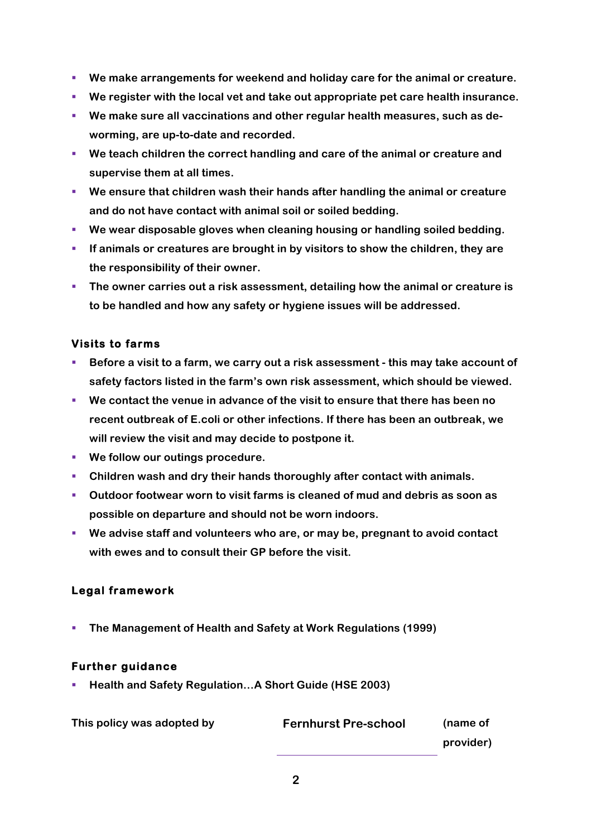- We make arrangements for weekend and holiday care for the animal or creature.
- § **We register with the local vet and take out appropriate pet care health insurance.**
- § **We make sure all vaccinations and other regular health measures, such as deworming, are up-to-date and recorded.**
- § **We teach children the correct handling and care of the animal or creature and supervise them at all times.**
- We ensure that children wash their hands after handling the animal or creature **and do not have contact with animal soil or soiled bedding.**
- § **We wear disposable gloves when cleaning housing or handling soiled bedding.**
- § **If animals or creatures are brought in by visitors to show the children, they are the responsibility of their owner.**
- **The owner carries out a risk assessment, detailing how the animal or creature is to be handled and how any safety or hygiene issues will be addressed.**

# **Visits to farms**

- § **Before a visit to a farm, we carry out a risk assessment - this may take account of safety factors listed in the farm's own risk assessment, which should be viewed.**
- § **We contact the venue in advance of the visit to ensure that there has been no recent outbreak of E.coli or other infections. If there has been an outbreak, we will review the visit and may decide to postpone it.**
- § **We follow our outings procedure.**
- § **Children wash and dry their hands thoroughly after contact with animals.**
- § **Outdoor footwear worn to visit farms is cleaned of mud and debris as soon as possible on departure and should not be worn indoors.**
- § **We advise staff and volunteers who are, or may be, pregnant to avoid contact with ewes and to consult their GP before the visit.**

# **Legal framework**

§ **The Management of Health and Safety at Work Regulations (1999)**

# **Further guidance**

§ **Health and Safety Regulation…A Short Guide (HSE 2003)**

| This policy was adopted by | <b>Fernhurst Pre-school</b> | (name of  |
|----------------------------|-----------------------------|-----------|
|                            |                             | provider) |